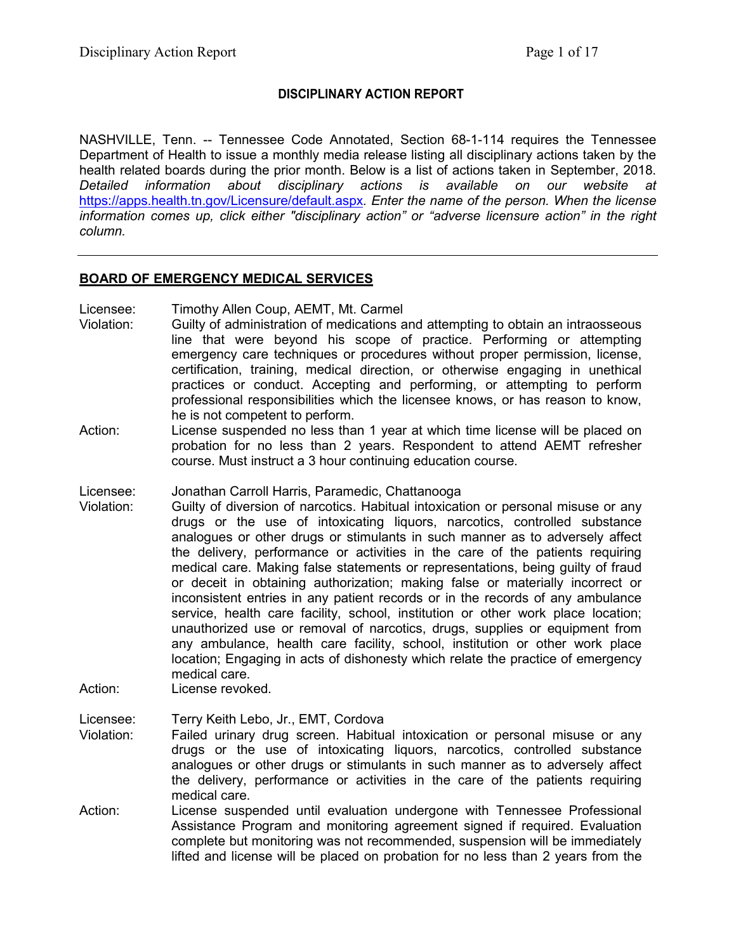## **DISCIPLINARY ACTION REPORT**

NASHVILLE, Tenn. -- Tennessee Code Annotated, Section 68-1-114 requires the Tennessee Department of Health to issue a monthly media release listing all disciplinary actions taken by the health related boards during the prior month. Below is a list of actions taken in September, 2018. *Detailed information about disciplinary actions is available on our website at*  <https://apps.health.tn.gov/Licensure/default.aspx>*. Enter the name of the person. When the license information comes up, click either "disciplinary action" or "adverse licensure action" in the right column.*

### **BOARD OF EMERGENCY MEDICAL SERVICES**

Licensee: Timothy Allen Coup, AEMT, Mt. Carmel

- Violation: Guilty of administration of medications and attempting to obtain an intraosseous line that were beyond his scope of practice. Performing or attempting emergency care techniques or procedures without proper permission, license, certification, training, medical direction, or otherwise engaging in unethical practices or conduct. Accepting and performing, or attempting to perform professional responsibilities which the licensee knows, or has reason to know, he is not competent to perform.
- Action: License suspended no less than 1 year at which time license will be placed on probation for no less than 2 years. Respondent to attend AEMT refresher course. Must instruct a 3 hour continuing education course.
- Licensee: Jonathan Carroll Harris, Paramedic, Chattanooga
- Violation: Guilty of diversion of narcotics. Habitual intoxication or personal misuse or any drugs or the use of intoxicating liquors, narcotics, controlled substance analogues or other drugs or stimulants in such manner as to adversely affect the delivery, performance or activities in the care of the patients requiring medical care. Making false statements or representations, being guilty of fraud or deceit in obtaining authorization; making false or materially incorrect or inconsistent entries in any patient records or in the records of any ambulance service, health care facility, school, institution or other work place location; unauthorized use or removal of narcotics, drugs, supplies or equipment from any ambulance, health care facility, school, institution or other work place location; Engaging in acts of dishonesty which relate the practice of emergency medical care.
- Action: License revoked.

Licensee: Terry Keith Lebo, Jr., EMT, Cordova

- Violation: Failed urinary drug screen. Habitual intoxication or personal misuse or any drugs or the use of intoxicating liquors, narcotics, controlled substance analogues or other drugs or stimulants in such manner as to adversely affect the delivery, performance or activities in the care of the patients requiring medical care.
- Action: License suspended until evaluation undergone with Tennessee Professional Assistance Program and monitoring agreement signed if required. Evaluation complete but monitoring was not recommended, suspension will be immediately lifted and license will be placed on probation for no less than 2 years from the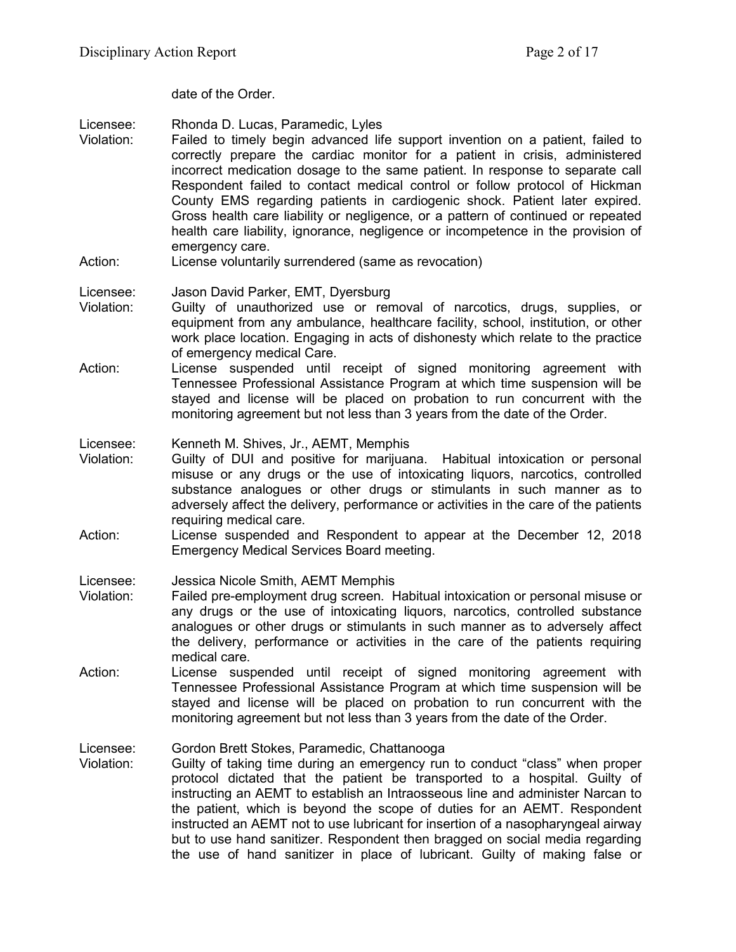date of the Order.

Licensee: Rhonda D. Lucas, Paramedic, Lyles<br>Violation: Failed to timely begin advanced life

- Failed to timely begin advanced life support invention on a patient, failed to correctly prepare the cardiac monitor for a patient in crisis, administered incorrect medication dosage to the same patient. In response to separate call Respondent failed to contact medical control or follow protocol of Hickman County EMS regarding patients in cardiogenic shock. Patient later expired. Gross health care liability or negligence, or a pattern of continued or repeated health care liability, ignorance, negligence or incompetence in the provision of emergency care.
- Action: License voluntarily surrendered (same as revocation)

## Licensee: Jason David Parker, EMT, Dyersburg

- Violation: Guilty of unauthorized use or removal of narcotics, drugs, supplies, or equipment from any ambulance, healthcare facility, school, institution, or other work place location. Engaging in acts of dishonesty which relate to the practice of emergency medical Care.
- Action: License suspended until receipt of signed monitoring agreement with Tennessee Professional Assistance Program at which time suspension will be stayed and license will be placed on probation to run concurrent with the monitoring agreement but not less than 3 years from the date of the Order.

Licensee: Kenneth M. Shives, Jr., AEMT, Memphis

- Violation: Guilty of DUI and positive for marijuana. Habitual intoxication or personal misuse or any drugs or the use of intoxicating liquors, narcotics, controlled substance analogues or other drugs or stimulants in such manner as to adversely affect the delivery, performance or activities in the care of the patients requiring medical care.
- Action: License suspended and Respondent to appear at the December 12, 2018 Emergency Medical Services Board meeting.

Licensee: Jessica Nicole Smith, AEMT Memphis

- Violation: Failed pre-employment drug screen. Habitual intoxication or personal misuse or any drugs or the use of intoxicating liquors, narcotics, controlled substance analogues or other drugs or stimulants in such manner as to adversely affect the delivery, performance or activities in the care of the patients requiring medical care.
- Action: License suspended until receipt of signed monitoring agreement with Tennessee Professional Assistance Program at which time suspension will be stayed and license will be placed on probation to run concurrent with the monitoring agreement but not less than 3 years from the date of the Order.

Licensee: Gordon Brett Stokes, Paramedic, Chattanooga

Violation: Guilty of taking time during an emergency run to conduct "class" when proper protocol dictated that the patient be transported to a hospital. Guilty of instructing an AEMT to establish an Intraosseous line and administer Narcan to the patient, which is beyond the scope of duties for an AEMT. Respondent instructed an AEMT not to use lubricant for insertion of a nasopharyngeal airway but to use hand sanitizer. Respondent then bragged on social media regarding the use of hand sanitizer in place of lubricant. Guilty of making false or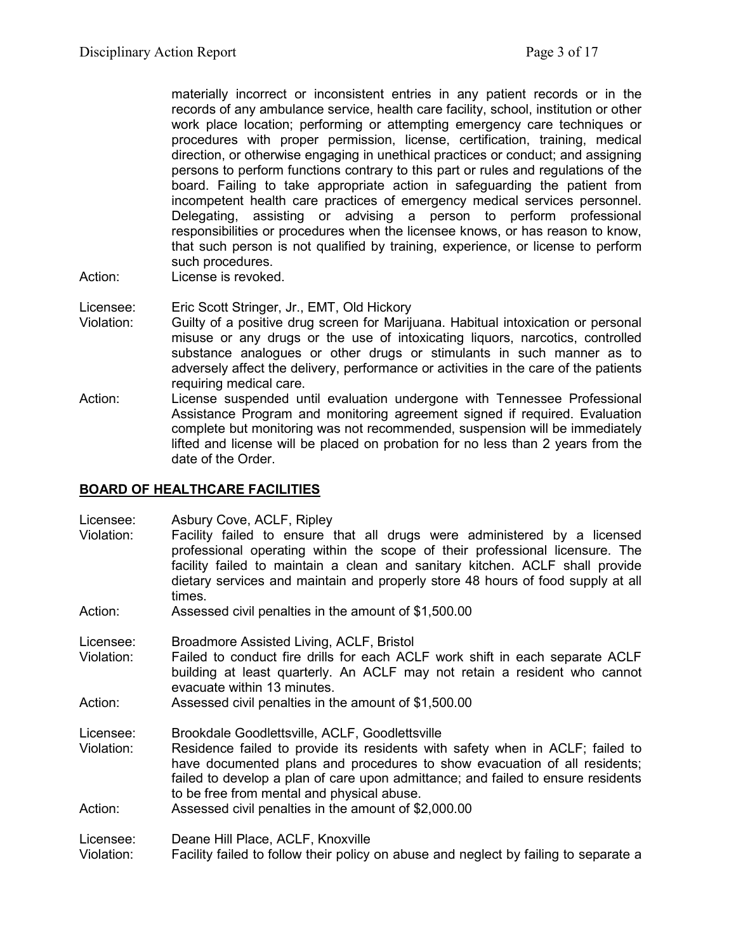materially incorrect or inconsistent entries in any patient records or in the records of any ambulance service, health care facility, school, institution or other work place location; performing or attempting emergency care techniques or procedures with proper permission, license, certification, training, medical direction, or otherwise engaging in unethical practices or conduct; and assigning persons to perform functions contrary to this part or rules and regulations of the board. Failing to take appropriate action in safeguarding the patient from incompetent health care practices of emergency medical services personnel. Delegating, assisting or advising a person to perform professional responsibilities or procedures when the licensee knows, or has reason to know, that such person is not qualified by training, experience, or license to perform such procedures.

- Action: License is revoked.
- Licensee: Eric Scott Stringer, Jr., EMT, Old Hickory
- Violation: Guilty of a positive drug screen for Marijuana. Habitual intoxication or personal misuse or any drugs or the use of intoxicating liquors, narcotics, controlled substance analogues or other drugs or stimulants in such manner as to adversely affect the delivery, performance or activities in the care of the patients requiring medical care.
- Action: License suspended until evaluation undergone with Tennessee Professional Assistance Program and monitoring agreement signed if required. Evaluation complete but monitoring was not recommended, suspension will be immediately lifted and license will be placed on probation for no less than 2 years from the date of the Order.

## **BOARD OF HEALTHCARE FACILITIES**

Licensee: Asbury Cove, ACLF, Ripley

- Violation: Facility failed to ensure that all drugs were administered by a licensed professional operating within the scope of their professional licensure. The facility failed to maintain a clean and sanitary kitchen. ACLF shall provide dietary services and maintain and properly store 48 hours of food supply at all times.
- Action: Assessed civil penalties in the amount of \$1,500.00
- Licensee: Broadmore Assisted Living, ACLF, Bristol
- Violation: Failed to conduct fire drills for each ACLF work shift in each separate ACLF building at least quarterly. An ACLF may not retain a resident who cannot evacuate within 13 minutes.

Action: Assessed civil penalties in the amount of \$1,500.00

- Licensee: Brookdale Goodlettsville, ACLF, Goodlettsville
- Violation: Residence failed to provide its residents with safety when in ACLF; failed to have documented plans and procedures to show evacuation of all residents; failed to develop a plan of care upon admittance; and failed to ensure residents to be free from mental and physical abuse.
- Action: Assessed civil penalties in the amount of \$2,000.00

Licensee: Deane Hill Place, ACLF, Knoxville

Violation: Facility failed to follow their policy on abuse and neglect by failing to separate a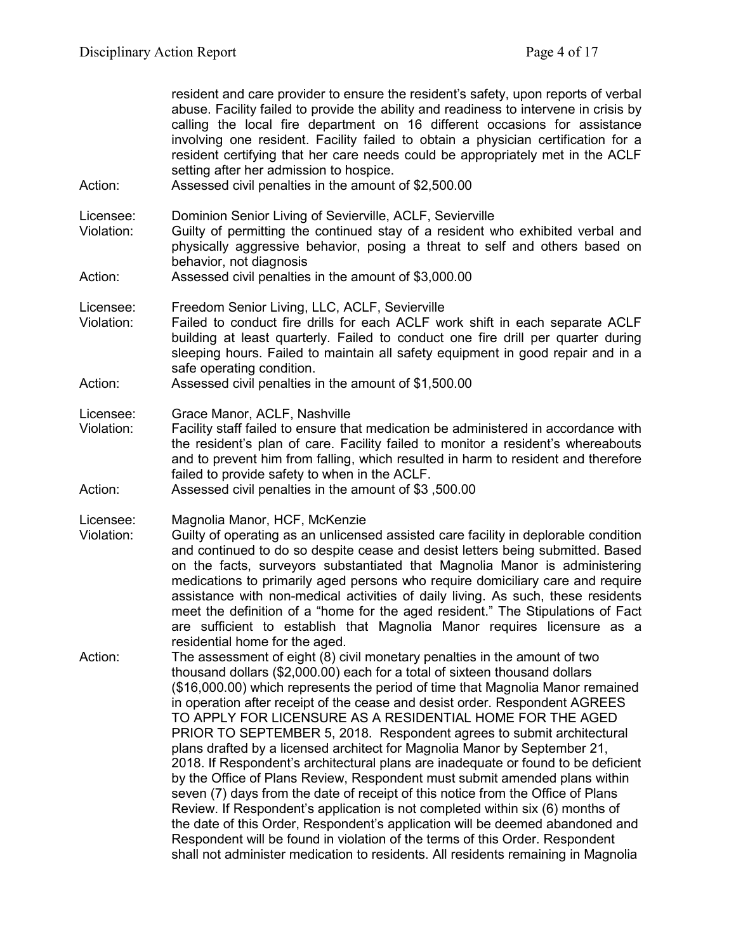resident and care provider to ensure the resident's safety, upon reports of verbal abuse. Facility failed to provide the ability and readiness to intervene in crisis by calling the local fire department on 16 different occasions for assistance involving one resident. Facility failed to obtain a physician certification for a resident certifying that her care needs could be appropriately met in the ACLF setting after her admission to hospice.

- Action: Assessed civil penalties in the amount of \$2,500.00
- Licensee: Dominion Senior Living of Sevierville, ACLF, Sevierville
- Violation: Guilty of permitting the continued stay of a resident who exhibited verbal and physically aggressive behavior, posing a threat to self and others based on behavior, not diagnosis
- Action: Assessed civil penalties in the amount of \$3,000.00
- Licensee: Freedom Senior Living, LLC, ACLF, Sevierville
- Violation: Failed to conduct fire drills for each ACLF work shift in each separate ACLF building at least quarterly. Failed to conduct one fire drill per quarter during sleeping hours. Failed to maintain all safety equipment in good repair and in a safe operating condition.
- Action: Assessed civil penalties in the amount of \$1,500.00
- Licensee: Grace Manor, ACLF, Nashville
- Violation: Facility staff failed to ensure that medication be administered in accordance with the resident's plan of care. Facility failed to monitor a resident's whereabouts and to prevent him from falling, which resulted in harm to resident and therefore failed to provide safety to when in the ACLF.
- Action: Assessed civil penalties in the amount of \$3 ,500.00
- Licensee: Magnolia Manor, HCF, McKenzie
- Violation: Guilty of operating as an unlicensed assisted care facility in deplorable condition and continued to do so despite cease and desist letters being submitted. Based on the facts, surveyors substantiated that Magnolia Manor is administering medications to primarily aged persons who require domiciliary care and require assistance with non-medical activities of daily living. As such, these residents meet the definition of a "home for the aged resident." The Stipulations of Fact are sufficient to establish that Magnolia Manor requires licensure as a residential home for the aged.
- Action: The assessment of eight (8) civil monetary penalties in the amount of two thousand dollars (\$2,000.00) each for a total of sixteen thousand dollars (\$16,000.00) which represents the period of time that Magnolia Manor remained in operation after receipt of the cease and desist order. Respondent AGREES TO APPLY FOR LICENSURE AS A RESIDENTIAL HOME FOR THE AGED PRIOR TO SEPTEMBER 5, 2018. Respondent agrees to submit architectural plans drafted by a licensed architect for Magnolia Manor by September 21, 2018. If Respondent's architectural plans are inadequate or found to be deficient by the Office of Plans Review, Respondent must submit amended plans within seven (7) days from the date of receipt of this notice from the Office of Plans Review. If Respondent's application is not completed within six (6) months of the date of this Order, Respondent's application will be deemed abandoned and Respondent will be found in violation of the terms of this Order. Respondent shall not administer medication to residents. All residents remaining in Magnolia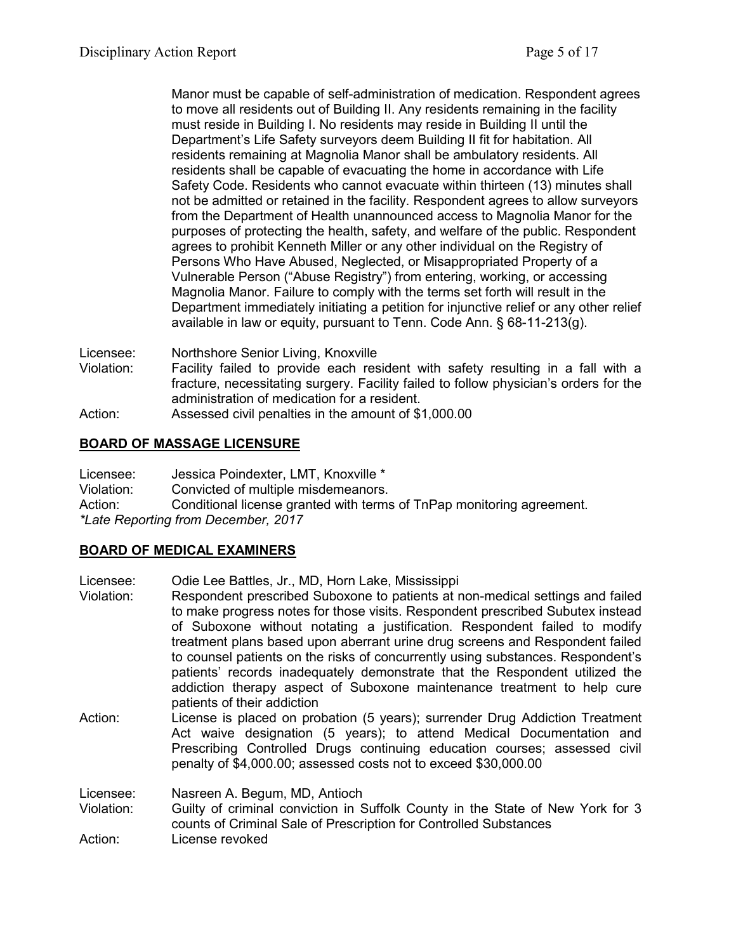Manor must be capable of self-administration of medication. Respondent agrees to move all residents out of Building II. Any residents remaining in the facility must reside in Building I. No residents may reside in Building II until the Department's Life Safety surveyors deem Building II fit for habitation. All residents remaining at Magnolia Manor shall be ambulatory residents. All residents shall be capable of evacuating the home in accordance with Life Safety Code. Residents who cannot evacuate within thirteen (13) minutes shall not be admitted or retained in the facility. Respondent agrees to allow surveyors from the Department of Health unannounced access to Magnolia Manor for the purposes of protecting the health, safety, and welfare of the public. Respondent agrees to prohibit Kenneth Miller or any other individual on the Registry of Persons Who Have Abused, Neglected, or Misappropriated Property of a Vulnerable Person ("Abuse Registry") from entering, working, or accessing Magnolia Manor. Failure to comply with the terms set forth will result in the Department immediately initiating a petition for injunctive relief or any other relief available in law or equity, pursuant to Tenn. Code Ann. § 68-11-213(g).

Licensee: Northshore Senior Living, Knoxville

- Violation: Facility failed to provide each resident with safety resulting in a fall with a fracture, necessitating surgery. Facility failed to follow physician's orders for the administration of medication for a resident.
- Action: Assessed civil penalties in the amount of \$1,000.00

## **BOARD OF MASSAGE LICENSURE**

Licensee: Jessica Poindexter, LMT, Knoxville \* Violation: Convicted of multiple misdemeanors. Action: Conditional license granted with terms of TnPap monitoring agreement. *\*Late Reporting from December, 2017*

## **BOARD OF MEDICAL EXAMINERS**

Licensee: Odie Lee Battles, Jr., MD, Horn Lake, Mississippi Violation: Respondent prescribed Suboxone to patients at non-medical settings and failed to make progress notes for those visits. Respondent prescribed Subutex instead of Suboxone without notating a justification. Respondent failed to modify treatment plans based upon aberrant urine drug screens and Respondent failed to counsel patients on the risks of concurrently using substances. Respondent's patients' records inadequately demonstrate that the Respondent utilized the addiction therapy aspect of Suboxone maintenance treatment to help cure patients of their addiction Action: License is placed on probation (5 years); surrender Drug Addiction Treatment Act waive designation (5 years); to attend Medical Documentation and Prescribing Controlled Drugs continuing education courses; assessed civil penalty of \$4,000.00; assessed costs not to exceed \$30,000.00 Licensee: Nasreen A. Begum, MD, Antioch Guilty of criminal conviction in Suffolk County in the State of New York for 3 counts of Criminal Sale of Prescription for Controlled Substances Action: License revoked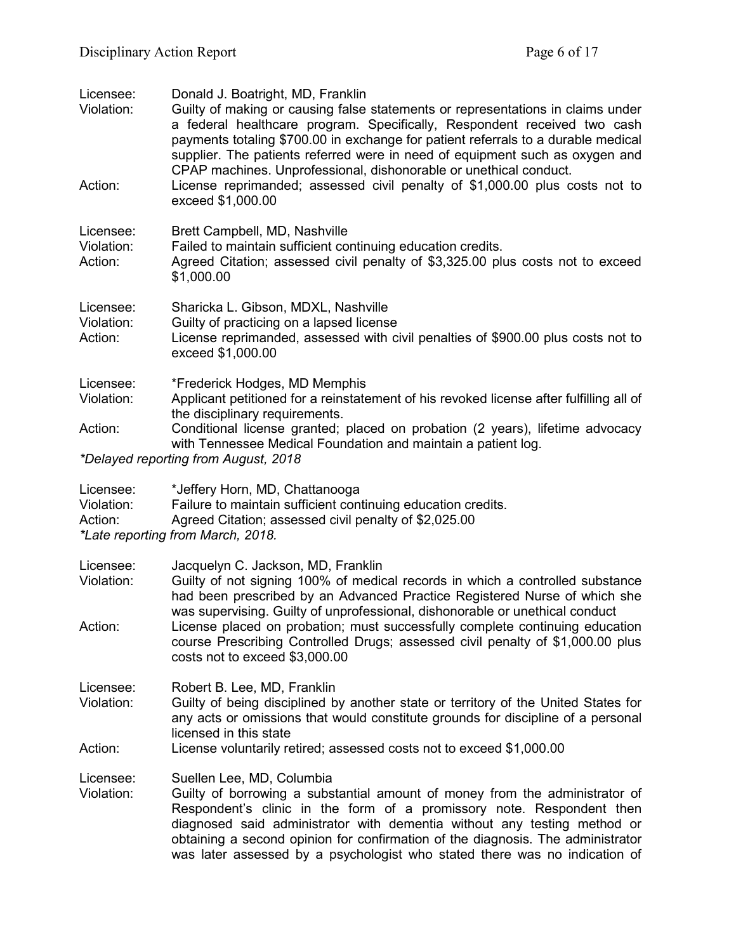| Licensee:<br>Violation:<br>Action: | Donald J. Boatright, MD, Franklin<br>Guilty of making or causing false statements or representations in claims under<br>a federal healthcare program. Specifically, Respondent received two cash<br>payments totaling \$700.00 in exchange for patient referrals to a durable medical<br>supplier. The patients referred were in need of equipment such as oxygen and<br>CPAP machines. Unprofessional, dishonorable or unethical conduct.<br>License reprimanded; assessed civil penalty of \$1,000.00 plus costs not to<br>exceed \$1,000.00 |
|------------------------------------|------------------------------------------------------------------------------------------------------------------------------------------------------------------------------------------------------------------------------------------------------------------------------------------------------------------------------------------------------------------------------------------------------------------------------------------------------------------------------------------------------------------------------------------------|
| Licensee:<br>Violation:<br>Action: | Brett Campbell, MD, Nashville<br>Failed to maintain sufficient continuing education credits.<br>Agreed Citation; assessed civil penalty of \$3,325.00 plus costs not to exceed<br>\$1,000.00                                                                                                                                                                                                                                                                                                                                                   |
| Licensee:<br>Violation:<br>Action: | Sharicka L. Gibson, MDXL, Nashville<br>Guilty of practicing on a lapsed license<br>License reprimanded, assessed with civil penalties of \$900.00 plus costs not to<br>exceed \$1,000.00                                                                                                                                                                                                                                                                                                                                                       |
| Licensee:<br>Violation:            | *Frederick Hodges, MD Memphis<br>Applicant petitioned for a reinstatement of his revoked license after fulfilling all of<br>the disciplinary requirements.                                                                                                                                                                                                                                                                                                                                                                                     |
| Action:                            | Conditional license granted; placed on probation (2 years), lifetime advocacy<br>with Tennessee Medical Foundation and maintain a patient log.<br>*Delayed reporting from August, 2018                                                                                                                                                                                                                                                                                                                                                         |
|                                    |                                                                                                                                                                                                                                                                                                                                                                                                                                                                                                                                                |
| Licensee:<br>Violation:<br>Action: | *Jeffery Horn, MD, Chattanooga<br>Failure to maintain sufficient continuing education credits.<br>Agreed Citation; assessed civil penalty of \$2,025.00<br>*Late reporting from March, 2018.                                                                                                                                                                                                                                                                                                                                                   |
| Licensee:<br>Violation:            | Jacquelyn C. Jackson, MD, Franklin<br>Guilty of not signing 100% of medical records in which a controlled substance<br>had been prescribed by an Advanced Practice Registered Nurse of which she<br>was supervising. Guilty of unprofessional, dishonorable or unethical conduct                                                                                                                                                                                                                                                               |
| Action:                            | License placed on probation; must successfully complete continuing education<br>course Prescribing Controlled Drugs; assessed civil penalty of \$1,000.00 plus<br>costs not to exceed \$3,000.00                                                                                                                                                                                                                                                                                                                                               |
| Licensee:<br>Violation:            | Robert B. Lee, MD, Franklin<br>Guilty of being disciplined by another state or territory of the United States for<br>any acts or omissions that would constitute grounds for discipline of a personal<br>licensed in this state                                                                                                                                                                                                                                                                                                                |
| Action:                            | License voluntarily retired; assessed costs not to exceed \$1,000.00                                                                                                                                                                                                                                                                                                                                                                                                                                                                           |
| Licensee:                          |                                                                                                                                                                                                                                                                                                                                                                                                                                                                                                                                                |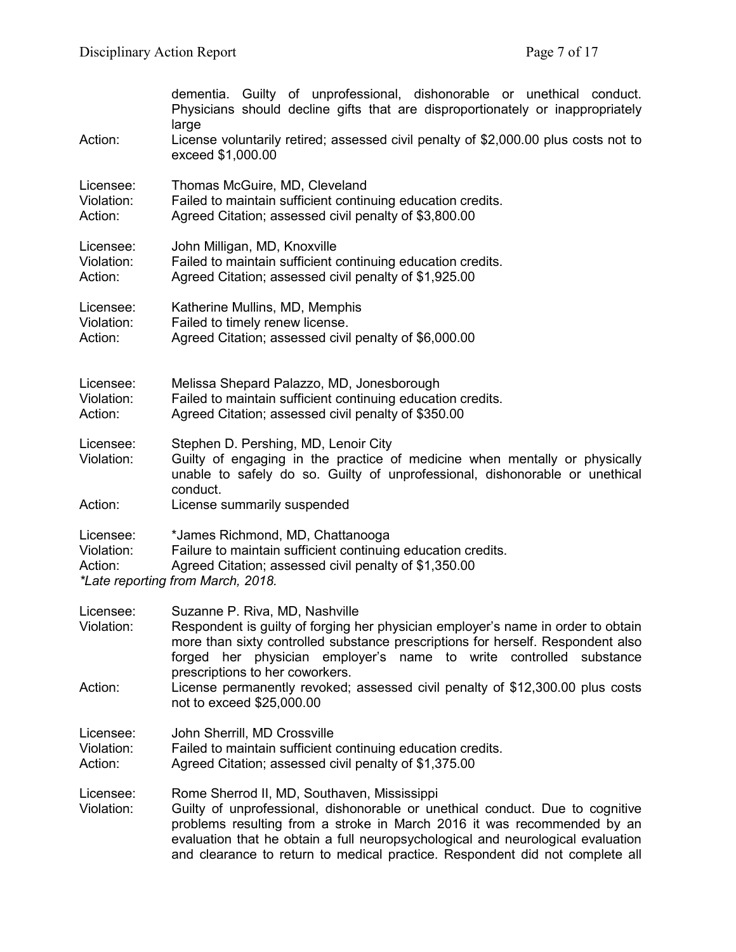|                                    | dementia. Guilty of unprofessional, dishonorable or unethical conduct.<br>Physicians should decline gifts that are disproportionately or inappropriately<br>large                                             |  |
|------------------------------------|---------------------------------------------------------------------------------------------------------------------------------------------------------------------------------------------------------------|--|
| Action:                            | License voluntarily retired; assessed civil penalty of \$2,000.00 plus costs not to<br>exceed \$1,000.00                                                                                                      |  |
| Licensee:                          | Thomas McGuire, MD, Cleveland                                                                                                                                                                                 |  |
| Violation:                         | Failed to maintain sufficient continuing education credits.                                                                                                                                                   |  |
| Action:                            | Agreed Citation; assessed civil penalty of \$3,800.00                                                                                                                                                         |  |
| Licensee:                          | John Milligan, MD, Knoxville                                                                                                                                                                                  |  |
| Violation:                         | Failed to maintain sufficient continuing education credits.                                                                                                                                                   |  |
| Action:                            | Agreed Citation; assessed civil penalty of \$1,925.00                                                                                                                                                         |  |
| Licensee:                          | Katherine Mullins, MD, Memphis                                                                                                                                                                                |  |
| Violation:                         | Failed to timely renew license.                                                                                                                                                                               |  |
| Action:                            | Agreed Citation; assessed civil penalty of \$6,000.00                                                                                                                                                         |  |
| Licensee:                          | Melissa Shepard Palazzo, MD, Jonesborough                                                                                                                                                                     |  |
| Violation:                         | Failed to maintain sufficient continuing education credits.                                                                                                                                                   |  |
| Action:                            | Agreed Citation; assessed civil penalty of \$350.00                                                                                                                                                           |  |
| Licensee:<br>Violation:            | Stephen D. Pershing, MD, Lenoir City<br>Guilty of engaging in the practice of medicine when mentally or physically<br>unable to safely do so. Guilty of unprofessional, dishonorable or unethical<br>conduct. |  |
| Action:                            | License summarily suspended                                                                                                                                                                                   |  |
| Licensee:<br>Violation:<br>Action: | *James Richmond, MD, Chattanooga<br>Failure to maintain sufficient continuing education credits.<br>Agreed Citation; assessed civil penalty of \$1,350.00<br>*Late reporting from March, 2018.                |  |
| Licensee:                          | Suzanne P. Riva, MD, Nashville                                                                                                                                                                                |  |
| Violation:                         | Respondent is guilty of forging her physician employer's name in order to obtain                                                                                                                              |  |

| violation. | Respondent is quilty of lorging her privsician employer s hame in order to obtain<br>more than sixty controlled substance prescriptions for herself. Respondent also<br>forged her physician employer's name to write controlled substance<br>prescriptions to her coworkers. |
|------------|-------------------------------------------------------------------------------------------------------------------------------------------------------------------------------------------------------------------------------------------------------------------------------|
| Action:    | License permanently revoked; assessed civil penalty of \$12,300.00 plus costs<br>not to exceed \$25,000.00                                                                                                                                                                    |
| l icensee: | John Sharrill MD Crossvilla                                                                                                                                                                                                                                                   |

Licensee: John Sherrill, MD Crossville

Violation: Failed to maintain sufficient continuing education credits.

Action: Agreed Citation; assessed civil penalty of \$1,375.00

- Licensee: Rome Sherrod II, MD, Southaven, Mississippi<br>Violation: Guilty of unprofessional, dishonorable or une
- Guilty of unprofessional, dishonorable or unethical conduct. Due to cognitive problems resulting from a stroke in March 2016 it was recommended by an evaluation that he obtain a full neuropsychological and neurological evaluation and clearance to return to medical practice. Respondent did not complete all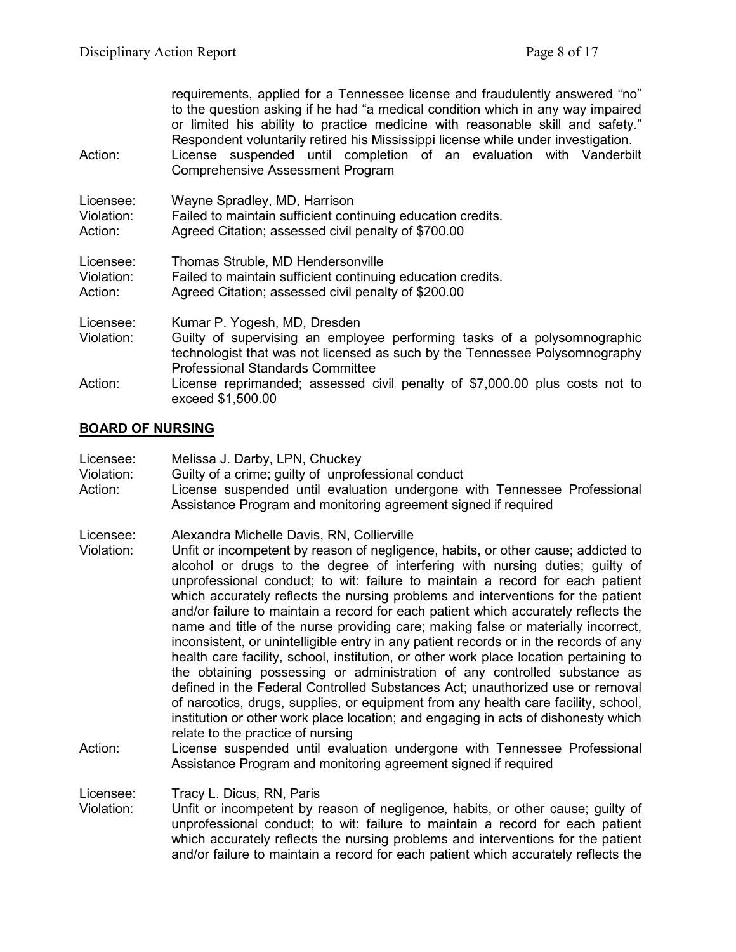| Action:                            | requirements, applied for a Tennessee license and fraudulently answered "no"<br>to the question asking if he had "a medical condition which in any way impaired<br>or limited his ability to practice medicine with reasonable skill and safety."<br>Respondent voluntarily retired his Mississippi license while under investigation.<br>License suspended until completion of an evaluation with Vanderbilt<br><b>Comprehensive Assessment Program</b> |
|------------------------------------|----------------------------------------------------------------------------------------------------------------------------------------------------------------------------------------------------------------------------------------------------------------------------------------------------------------------------------------------------------------------------------------------------------------------------------------------------------|
| Licensee:<br>Violation:<br>Action: | Wayne Spradley, MD, Harrison<br>Failed to maintain sufficient continuing education credits.<br>Agreed Citation; assessed civil penalty of \$700.00                                                                                                                                                                                                                                                                                                       |
| Licensee:<br>Violation:<br>Action: | Thomas Struble, MD Hendersonville<br>Failed to maintain sufficient continuing education credits.<br>Agreed Citation; assessed civil penalty of \$200.00                                                                                                                                                                                                                                                                                                  |
| Licensee:<br>Violation:            | Kumar P. Yogesh, MD, Dresden<br>Guilty of supervising an employee performing tasks of a polysomnographic<br>technologist that was not licensed as such by the Tennessee Polysomnography<br><b>Professional Standards Committee</b>                                                                                                                                                                                                                       |
| Action:                            | License reprimanded; assessed civil penalty of \$7,000.00 plus costs not to<br>exceed \$1,500.00                                                                                                                                                                                                                                                                                                                                                         |

## **BOARD OF NURSING**

| Licensee:<br>Violation:<br>Action: | Melissa J. Darby, LPN, Chuckey<br>Guilty of a crime; guilty of unprofessional conduct<br>License suspended until evaluation undergone with Tennessee Professional<br>Assistance Program and monitoring agreement signed if required                                                                                                                                                                                                                                                                                                                                                                                                                                                                                                                                                                                                                                                                                                                                                                                                                                                                                              |
|------------------------------------|----------------------------------------------------------------------------------------------------------------------------------------------------------------------------------------------------------------------------------------------------------------------------------------------------------------------------------------------------------------------------------------------------------------------------------------------------------------------------------------------------------------------------------------------------------------------------------------------------------------------------------------------------------------------------------------------------------------------------------------------------------------------------------------------------------------------------------------------------------------------------------------------------------------------------------------------------------------------------------------------------------------------------------------------------------------------------------------------------------------------------------|
| Licensee:<br>Violation:            | Alexandra Michelle Davis, RN, Collierville<br>Unfit or incompetent by reason of negligence, habits, or other cause; addicted to<br>alcohol or drugs to the degree of interfering with nursing duties; guilty of<br>unprofessional conduct; to wit: failure to maintain a record for each patient<br>which accurately reflects the nursing problems and interventions for the patient<br>and/or failure to maintain a record for each patient which accurately reflects the<br>name and title of the nurse providing care; making false or materially incorrect,<br>inconsistent, or unintelligible entry in any patient records or in the records of any<br>health care facility, school, institution, or other work place location pertaining to<br>the obtaining possessing or administration of any controlled substance as<br>defined in the Federal Controlled Substances Act; unauthorized use or removal<br>of narcotics, drugs, supplies, or equipment from any health care facility, school,<br>institution or other work place location; and engaging in acts of dishonesty which<br>relate to the practice of nursing |
| Action:                            | License suspended until evaluation undergone with Tennessee Professional                                                                                                                                                                                                                                                                                                                                                                                                                                                                                                                                                                                                                                                                                                                                                                                                                                                                                                                                                                                                                                                         |

- Assistance Program and monitoring agreement signed if required
- Licensee: Tracy L. Dicus, RN, Paris<br>Violation: Unfit or incompetent by re
- Unfit or incompetent by reason of negligence, habits, or other cause; guilty of unprofessional conduct; to wit: failure to maintain a record for each patient which accurately reflects the nursing problems and interventions for the patient and/or failure to maintain a record for each patient which accurately reflects the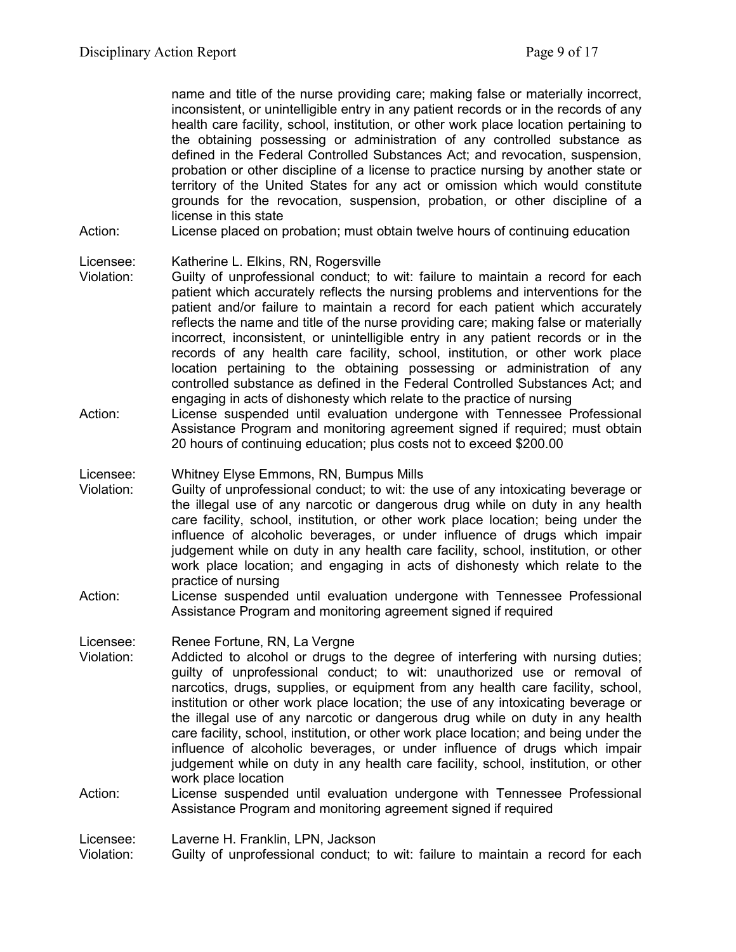name and title of the nurse providing care; making false or materially incorrect, inconsistent, or unintelligible entry in any patient records or in the records of any health care facility, school, institution, or other work place location pertaining to the obtaining possessing or administration of any controlled substance as defined in the Federal Controlled Substances Act; and revocation, suspension, probation or other discipline of a license to practice nursing by another state or territory of the United States for any act or omission which would constitute grounds for the revocation, suspension, probation, or other discipline of a license in this state

Action: License placed on probation; must obtain twelve hours of continuing education

## Licensee: Katherine L. Elkins, RN, Rogersville

- Violation: Guilty of unprofessional conduct; to wit: failure to maintain a record for each patient which accurately reflects the nursing problems and interventions for the patient and/or failure to maintain a record for each patient which accurately reflects the name and title of the nurse providing care; making false or materially incorrect, inconsistent, or unintelligible entry in any patient records or in the records of any health care facility, school, institution, or other work place location pertaining to the obtaining possessing or administration of any controlled substance as defined in the Federal Controlled Substances Act; and engaging in acts of dishonesty which relate to the practice of nursing
- Action: License suspended until evaluation undergone with Tennessee Professional Assistance Program and monitoring agreement signed if required; must obtain 20 hours of continuing education; plus costs not to exceed \$200.00
- Licensee: Whitney Elyse Emmons, RN, Bumpus Mills
- Violation: Guilty of unprofessional conduct; to wit: the use of any intoxicating beverage or the illegal use of any narcotic or dangerous drug while on duty in any health care facility, school, institution, or other work place location; being under the influence of alcoholic beverages, or under influence of drugs which impair judgement while on duty in any health care facility, school, institution, or other work place location; and engaging in acts of dishonesty which relate to the practice of nursing
- Action: License suspended until evaluation undergone with Tennessee Professional Assistance Program and monitoring agreement signed if required

Licensee: Renee Fortune, RN, La Vergne

- Violation: Addicted to alcohol or drugs to the degree of interfering with nursing duties; guilty of unprofessional conduct; to wit: unauthorized use or removal of narcotics, drugs, supplies, or equipment from any health care facility, school, institution or other work place location; the use of any intoxicating beverage or the illegal use of any narcotic or dangerous drug while on duty in any health care facility, school, institution, or other work place location; and being under the influence of alcoholic beverages, or under influence of drugs which impair judgement while on duty in any health care facility, school, institution, or other work place location
- Action: License suspended until evaluation undergone with Tennessee Professional Assistance Program and monitoring agreement signed if required

Licensee: Laverne H. Franklin, LPN, Jackson

Violation: Guilty of unprofessional conduct; to wit: failure to maintain a record for each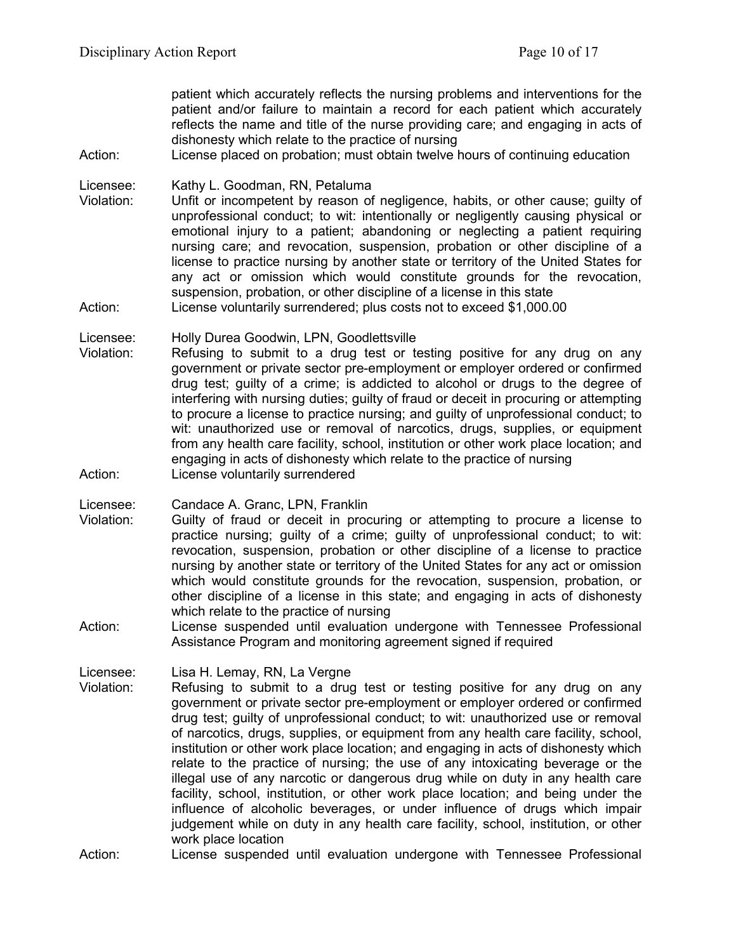patient which accurately reflects the nursing problems and interventions for the patient and/or failure to maintain a record for each patient which accurately reflects the name and title of the nurse providing care; and engaging in acts of dishonesty which relate to the practice of nursing

Action: License placed on probation; must obtain twelve hours of continuing education

Licensee: Kathy L. Goodman, RN, Petaluma

Violation: Unfit or incompetent by reason of negligence, habits, or other cause; guilty of unprofessional conduct; to wit: intentionally or negligently causing physical or emotional injury to a patient; abandoning or neglecting a patient requiring nursing care; and revocation, suspension, probation or other discipline of a license to practice nursing by another state or territory of the United States for any act or omission which would constitute grounds for the revocation, suspension, probation, or other discipline of a license in this state

Action: License voluntarily surrendered; plus costs not to exceed \$1,000.00

Licensee: Holly Durea Goodwin, LPN, Goodlettsville

Violation: Refusing to submit to a drug test or testing positive for any drug on any government or private sector pre-employment or employer ordered or confirmed drug test; guilty of a crime; is addicted to alcohol or drugs to the degree of interfering with nursing duties; guilty of fraud or deceit in procuring or attempting to procure a license to practice nursing; and guilty of unprofessional conduct; to wit: unauthorized use or removal of narcotics, drugs, supplies, or equipment from any health care facility, school, institution or other work place location; and engaging in acts of dishonesty which relate to the practice of nursing Action: License voluntarily surrendered

Licensee: Candace A. Granc, LPN, Franklin

- Violation: Guilty of fraud or deceit in procuring or attempting to procure a license to practice nursing; guilty of a crime; guilty of unprofessional conduct; to wit: revocation, suspension, probation or other discipline of a license to practice nursing by another state or territory of the United States for any act or omission which would constitute grounds for the revocation, suspension, probation, or other discipline of a license in this state; and engaging in acts of dishonesty which relate to the practice of nursing
- Action: License suspended until evaluation undergone with Tennessee Professional Assistance Program and monitoring agreement signed if required

Licensee: Lisa H. Lemay, RN, La Vergne

Violation: Refusing to submit to a drug test or testing positive for any drug on any government or private sector pre-employment or employer ordered or confirmed drug test; guilty of unprofessional conduct; to wit: unauthorized use or removal of narcotics, drugs, supplies, or equipment from any health care facility, school, institution or other work place location; and engaging in acts of dishonesty which relate to the practice of nursing; the use of any intoxicating beverage or the illegal use of any narcotic or dangerous drug while on duty in any health care facility, school, institution, or other work place location; and being under the influence of alcoholic beverages, or under influence of drugs which impair judgement while on duty in any health care facility, school, institution, or other work place location

Action: License suspended until evaluation undergone with Tennessee Professional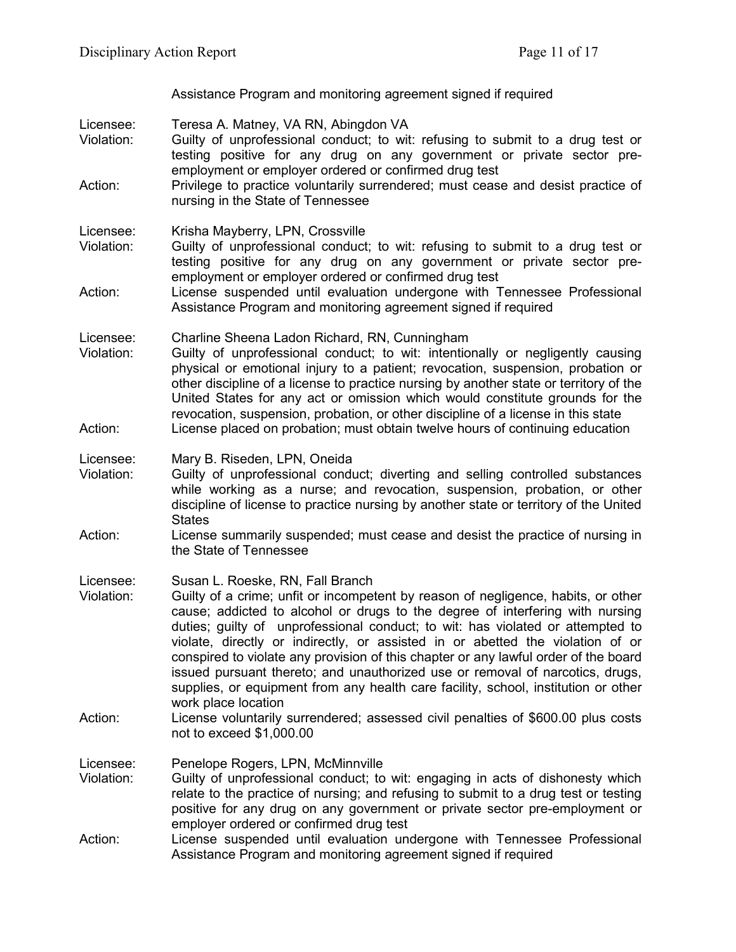Assistance Program and monitoring agreement signed if required

- Licensee: Teresa A. Matney, VA RN, Abingdon VA<br>Violation: Guilty of unprofessional conduct: to wit
- Guilty of unprofessional conduct; to wit: refusing to submit to a drug test or testing positive for any drug on any government or private sector preemployment or employer ordered or confirmed drug test
- Action: Privilege to practice voluntarily surrendered; must cease and desist practice of nursing in the State of Tennessee
- Licensee: Krisha Mayberry, LPN, Crossville<br>Violation: Guilty of unprofessional conduct
- Guilty of unprofessional conduct; to wit: refusing to submit to a drug test or testing positive for any drug on any government or private sector preemployment or employer ordered or confirmed drug test
- Action: License suspended until evaluation undergone with Tennessee Professional Assistance Program and monitoring agreement signed if required

Licensee: Charline Sheena Ladon Richard, RN, Cunningham<br>Violation: Guilty of unprofessional conduct: to wit: intentio

Guilty of unprofessional conduct; to wit: intentionally or negligently causing physical or emotional injury to a patient; revocation, suspension, probation or other discipline of a license to practice nursing by another state or territory of the United States for any act or omission which would constitute grounds for the revocation, suspension, probation, or other discipline of a license in this state Action: License placed on probation; must obtain twelve hours of continuing education

Licensee: Mary B. Riseden, LPN, Oneida

- Violation: Guilty of unprofessional conduct; diverting and selling controlled substances while working as a nurse; and revocation, suspension, probation, or other discipline of license to practice nursing by another state or territory of the United **States**
- Action: License summarily suspended; must cease and desist the practice of nursing in the State of Tennessee

Licensee: Susan L. Roeske, RN, Fall Branch

- Violation: Guilty of a crime; unfit or incompetent by reason of negligence, habits, or other cause; addicted to alcohol or drugs to the degree of interfering with nursing duties; guilty of unprofessional conduct; to wit: has violated or attempted to violate, directly or indirectly, or assisted in or abetted the violation of or conspired to violate any provision of this chapter or any lawful order of the board issued pursuant thereto; and unauthorized use or removal of narcotics, drugs, supplies, or equipment from any health care facility, school, institution or other work place location
- Action: License voluntarily surrendered; assessed civil penalties of \$600.00 plus costs not to exceed \$1,000.00
- Licensee: Penelope Rogers, LPN, McMinnville
- Violation: Guilty of unprofessional conduct; to wit: engaging in acts of dishonesty which relate to the practice of nursing; and refusing to submit to a drug test or testing positive for any drug on any government or private sector pre-employment or employer ordered or confirmed drug test
- Action: License suspended until evaluation undergone with Tennessee Professional Assistance Program and monitoring agreement signed if required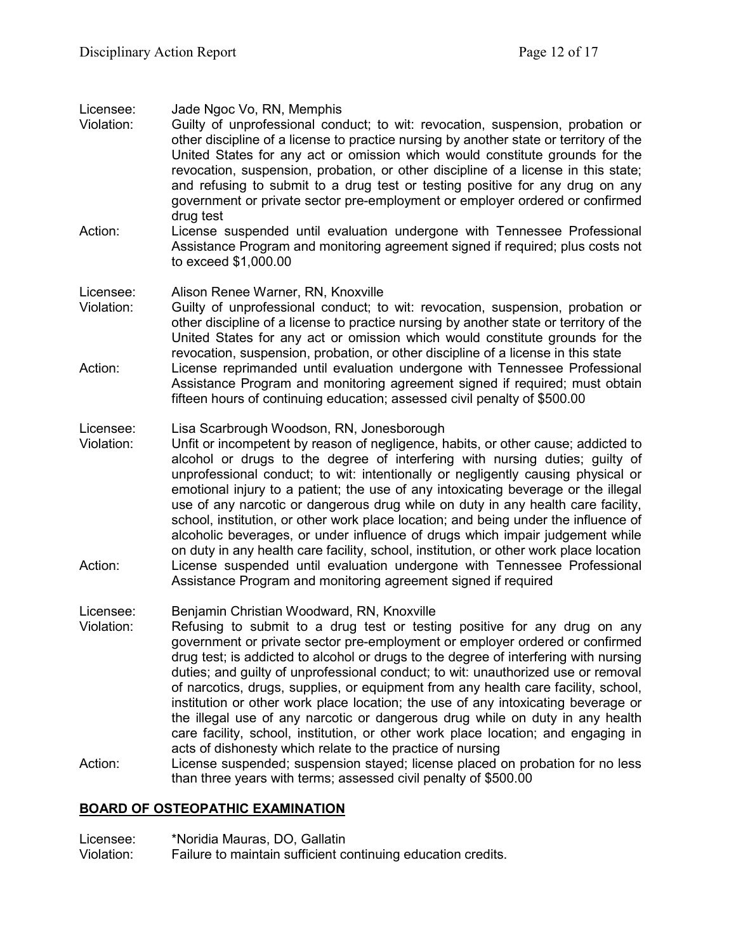- Licensee: Jade Ngoc Vo, RN, Memphis Violation: Guilty of unprofessional conduct; to wit: revocation, suspension, probation or other discipline of a license to practice nursing by another state or territory of the United States for any act or omission which would constitute grounds for the revocation, suspension, probation, or other discipline of a license in this state; and refusing to submit to a drug test or testing positive for any drug on any government or private sector pre-employment or employer ordered or confirmed drug test Action: License suspended until evaluation undergone with Tennessee Professional Assistance Program and monitoring agreement signed if required; plus costs not to exceed \$1,000.00 Licensee: Alison Renee Warner, RN, Knoxville Violation: Guilty of unprofessional conduct; to wit: revocation, suspension, probation or other discipline of a license to practice nursing by another state or territory of the United States for any act or omission which would constitute grounds for the revocation, suspension, probation, or other discipline of a license in this state Action: License reprimanded until evaluation undergone with Tennessee Professional Assistance Program and monitoring agreement signed if required; must obtain fifteen hours of continuing education; assessed civil penalty of \$500.00 Licensee: Lisa Scarbrough Woodson, RN, Jonesborough Violation: Unfit or incompetent by reason of negligence, habits, or other cause; addicted to alcohol or drugs to the degree of interfering with nursing duties; guilty of unprofessional conduct; to wit: intentionally or negligently causing physical or emotional injury to a patient; the use of any intoxicating beverage or the illegal use of any narcotic or dangerous drug while on duty in any health care facility, school, institution, or other work place location; and being under the influence of alcoholic beverages, or under influence of drugs which impair judgement while on duty in any health care facility, school, institution, or other work place location Action: License suspended until evaluation undergone with Tennessee Professional Assistance Program and monitoring agreement signed if required Licensee: Benjamin Christian Woodward, RN, Knoxville
- Violation: Refusing to submit to a drug test or testing positive for any drug on any government or private sector pre-employment or employer ordered or confirmed drug test; is addicted to alcohol or drugs to the degree of interfering with nursing duties; and guilty of unprofessional conduct; to wit: unauthorized use or removal of narcotics, drugs, supplies, or equipment from any health care facility, school, institution or other work place location; the use of any intoxicating beverage or the illegal use of any narcotic or dangerous drug while on duty in any health care facility, school, institution, or other work place location; and engaging in acts of dishonesty which relate to the practice of nursing
- Action: License suspended; suspension stayed; license placed on probation for no less than three years with terms; assessed civil penalty of \$500.00

# **BOARD OF OSTEOPATHIC EXAMINATION**

Licensee: \*Noridia Mauras, DO, Gallatin Violation: Failure to maintain sufficient continuing education credits.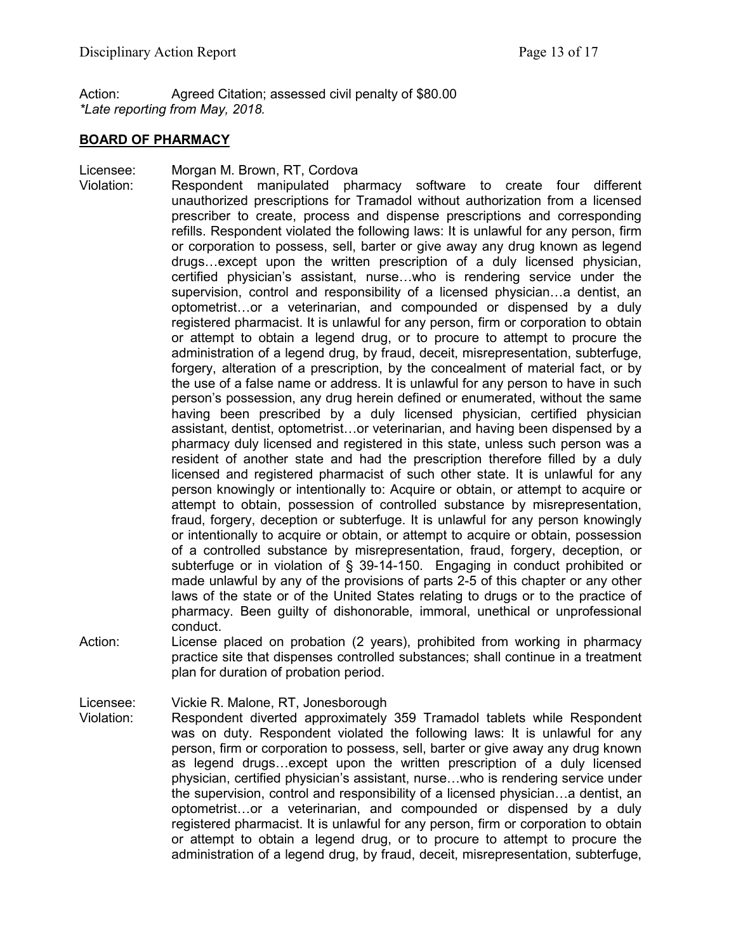Action: Agreed Citation; assessed civil penalty of \$80.00 *\*Late reporting from May, 2018.*

### **BOARD OF PHARMACY**

Licensee: Morgan M. Brown, RT, Cordova

Violation: Respondent manipulated pharmacy software to create four different unauthorized prescriptions for Tramadol without authorization from a licensed prescriber to create, process and dispense prescriptions and corresponding refills. Respondent violated the following laws: It is unlawful for any person, firm or corporation to possess, sell, barter or give away any drug known as legend drugs…except upon the written prescription of a duly licensed physician, certified physician's assistant, nurse…who is rendering service under the supervision, control and responsibility of a licensed physician…a dentist, an optometrist…or a veterinarian, and compounded or dispensed by a duly registered pharmacist. It is unlawful for any person, firm or corporation to obtain or attempt to obtain a legend drug, or to procure to attempt to procure the administration of a legend drug, by fraud, deceit, misrepresentation, subterfuge, forgery, alteration of a prescription, by the concealment of material fact, or by the use of a false name or address. It is unlawful for any person to have in such person's possession, any drug herein defined or enumerated, without the same having been prescribed by a duly licensed physician, certified physician assistant, dentist, optometrist…or veterinarian, and having been dispensed by a pharmacy duly licensed and registered in this state, unless such person was a resident of another state and had the prescription therefore filled by a duly licensed and registered pharmacist of such other state. It is unlawful for any person knowingly or intentionally to: Acquire or obtain, or attempt to acquire or attempt to obtain, possession of controlled substance by misrepresentation, fraud, forgery, deception or subterfuge. It is unlawful for any person knowingly or intentionally to acquire or obtain, or attempt to acquire or obtain, possession of a controlled substance by misrepresentation, fraud, forgery, deception, or subterfuge or in violation of § 39-14-150. Engaging in conduct prohibited or made unlawful by any of the provisions of parts 2-5 of this chapter or any other laws of the state or of the United States relating to drugs or to the practice of pharmacy. Been guilty of dishonorable, immoral, unethical or unprofessional conduct.

Action: License placed on probation (2 years), prohibited from working in pharmacy practice site that dispenses controlled substances; shall continue in a treatment plan for duration of probation period.

Licensee: Vickie R. Malone, RT, Jonesborough

Violation: Respondent diverted approximately 359 Tramadol tablets while Respondent was on duty. Respondent violated the following laws: It is unlawful for any person, firm or corporation to possess, sell, barter or give away any drug known as legend drugs…except upon the written prescription of a duly licensed physician, certified physician's assistant, nurse…who is rendering service under the supervision, control and responsibility of a licensed physician…a dentist, an optometrist…or a veterinarian, and compounded or dispensed by a duly registered pharmacist. It is unlawful for any person, firm or corporation to obtain or attempt to obtain a legend drug, or to procure to attempt to procure the administration of a legend drug, by fraud, deceit, misrepresentation, subterfuge,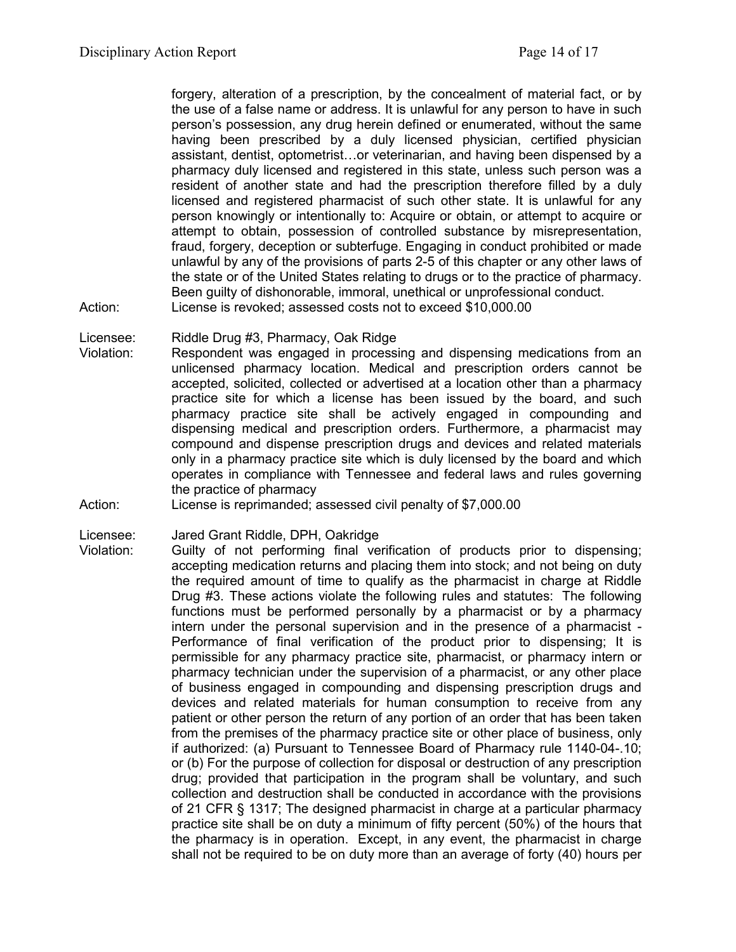forgery, alteration of a prescription, by the concealment of material fact, or by the use of a false name or address. It is unlawful for any person to have in such person's possession, any drug herein defined or enumerated, without the same having been prescribed by a duly licensed physician, certified physician assistant, dentist, optometrist…or veterinarian, and having been dispensed by a pharmacy duly licensed and registered in this state, unless such person was a resident of another state and had the prescription therefore filled by a duly licensed and registered pharmacist of such other state. It is unlawful for any person knowingly or intentionally to: Acquire or obtain, or attempt to acquire or attempt to obtain, possession of controlled substance by misrepresentation, fraud, forgery, deception or subterfuge. Engaging in conduct prohibited or made unlawful by any of the provisions of parts 2-5 of this chapter or any other laws of the state or of the United States relating to drugs or to the practice of pharmacy. Been guilty of dishonorable, immoral, unethical or unprofessional conduct. Action: License is revoked; assessed costs not to exceed \$10,000.00

- Licensee: Riddle Drug #3, Pharmacy, Oak Ridge
- Violation: Respondent was engaged in processing and dispensing medications from an unlicensed pharmacy location. Medical and prescription orders cannot be accepted, solicited, collected or advertised at a location other than a pharmacy practice site for which a license has been issued by the board, and such pharmacy practice site shall be actively engaged in compounding and dispensing medical and prescription orders. Furthermore, a pharmacist may compound and dispense prescription drugs and devices and related materials only in a pharmacy practice site which is duly licensed by the board and which operates in compliance with Tennessee and federal laws and rules governing the practice of pharmacy
- Action: License is reprimanded; assessed civil penalty of \$7,000.00

Licensee: Jared Grant Riddle, DPH, Oakridge

Violation: Guilty of not performing final verification of products prior to dispensing; accepting medication returns and placing them into stock; and not being on duty the required amount of time to qualify as the pharmacist in charge at Riddle Drug #3. These actions violate the following rules and statutes: The following functions must be performed personally by a pharmacist or by a pharmacy intern under the personal supervision and in the presence of a pharmacist - Performance of final verification of the product prior to dispensing; It is permissible for any pharmacy practice site, pharmacist, or pharmacy intern or pharmacy technician under the supervision of a pharmacist, or any other place of business engaged in compounding and dispensing prescription drugs and devices and related materials for human consumption to receive from any patient or other person the return of any portion of an order that has been taken from the premises of the pharmacy practice site or other place of business, only if authorized: (a) Pursuant to Tennessee Board of Pharmacy rule 1140-04-.10; or (b) For the purpose of collection for disposal or destruction of any prescription drug; provided that participation in the program shall be voluntary, and such collection and destruction shall be conducted in accordance with the provisions of 21 CFR § 1317; The designed pharmacist in charge at a particular pharmacy practice site shall be on duty a minimum of fifty percent (50%) of the hours that the pharmacy is in operation. Except, in any event, the pharmacist in charge shall not be required to be on duty more than an average of forty (40) hours per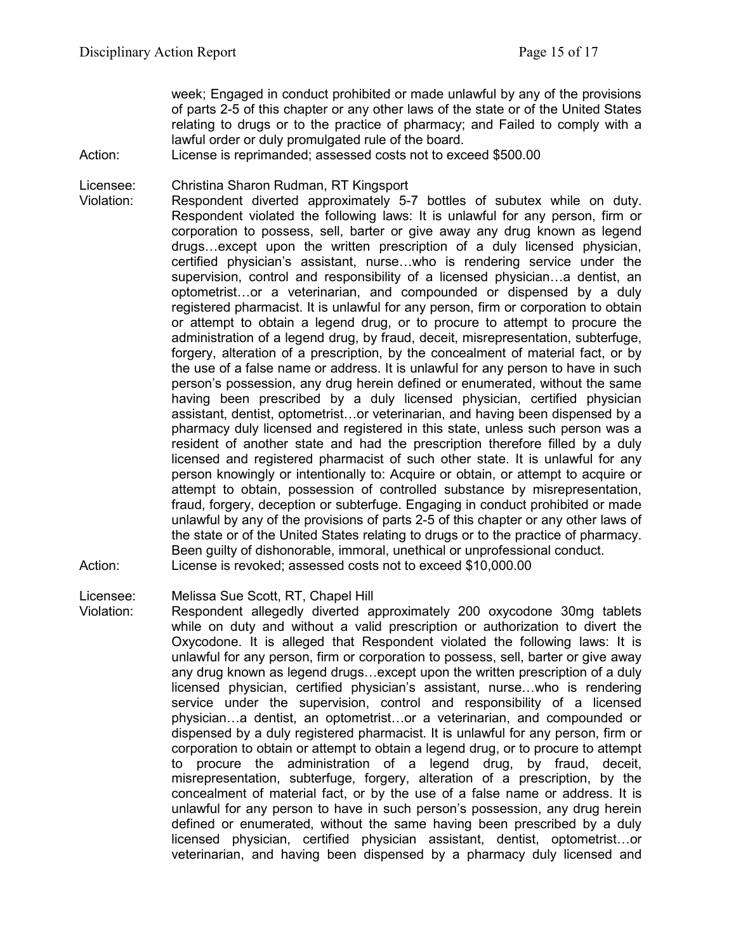week; Engaged in conduct prohibited or made unlawful by any of the provisions of parts 2-5 of this chapter or any other laws of the state or of the United States relating to drugs or to the practice of pharmacy; and Failed to comply with a lawful order or duly promulgated rule of the board.

Action: License is reprimanded; assessed costs not to exceed \$500.00

Licensee: Christina Sharon Rudman, RT Kingsport

Violation: Respondent diverted approximately 5-7 bottles of subutex while on duty. Respondent violated the following laws: It is unlawful for any person, firm or corporation to possess, sell, barter or give away any drug known as legend drugs…except upon the written prescription of a duly licensed physician, certified physician's assistant, nurse…who is rendering service under the supervision, control and responsibility of a licensed physician…a dentist, an optometrist…or a veterinarian, and compounded or dispensed by a duly registered pharmacist. It is unlawful for any person, firm or corporation to obtain or attempt to obtain a legend drug, or to procure to attempt to procure the administration of a legend drug, by fraud, deceit, misrepresentation, subterfuge, forgery, alteration of a prescription, by the concealment of material fact, or by the use of a false name or address. It is unlawful for any person to have in such person's possession, any drug herein defined or enumerated, without the same having been prescribed by a duly licensed physician, certified physician assistant, dentist, optometrist…or veterinarian, and having been dispensed by a pharmacy duly licensed and registered in this state, unless such person was a resident of another state and had the prescription therefore filled by a duly licensed and registered pharmacist of such other state. It is unlawful for any person knowingly or intentionally to: Acquire or obtain, or attempt to acquire or attempt to obtain, possession of controlled substance by misrepresentation, fraud, forgery, deception or subterfuge. Engaging in conduct prohibited or made unlawful by any of the provisions of parts 2-5 of this chapter or any other laws of the state or of the United States relating to drugs or to the practice of pharmacy. Been guilty of dishonorable, immoral, unethical or unprofessional conduct. Action: License is revoked; assessed costs not to exceed \$10,000.00

Licensee: Melissa Sue Scott, RT, Chapel Hill

Violation: Respondent allegedly diverted approximately 200 oxycodone 30mg tablets while on duty and without a valid prescription or authorization to divert the Oxycodone. It is alleged that Respondent violated the following laws: It is unlawful for any person, firm or corporation to possess, sell, barter or give away any drug known as legend drugs…except upon the written prescription of a duly licensed physician, certified physician's assistant, nurse…who is rendering service under the supervision, control and responsibility of a licensed physician…a dentist, an optometrist…or a veterinarian, and compounded or dispensed by a duly registered pharmacist. It is unlawful for any person, firm or corporation to obtain or attempt to obtain a legend drug, or to procure to attempt to procure the administration of a legend drug, by fraud, deceit, misrepresentation, subterfuge, forgery, alteration of a prescription, by the concealment of material fact, or by the use of a false name or address. It is unlawful for any person to have in such person's possession, any drug herein defined or enumerated, without the same having been prescribed by a duly licensed physician, certified physician assistant, dentist, optometrist…or veterinarian, and having been dispensed by a pharmacy duly licensed and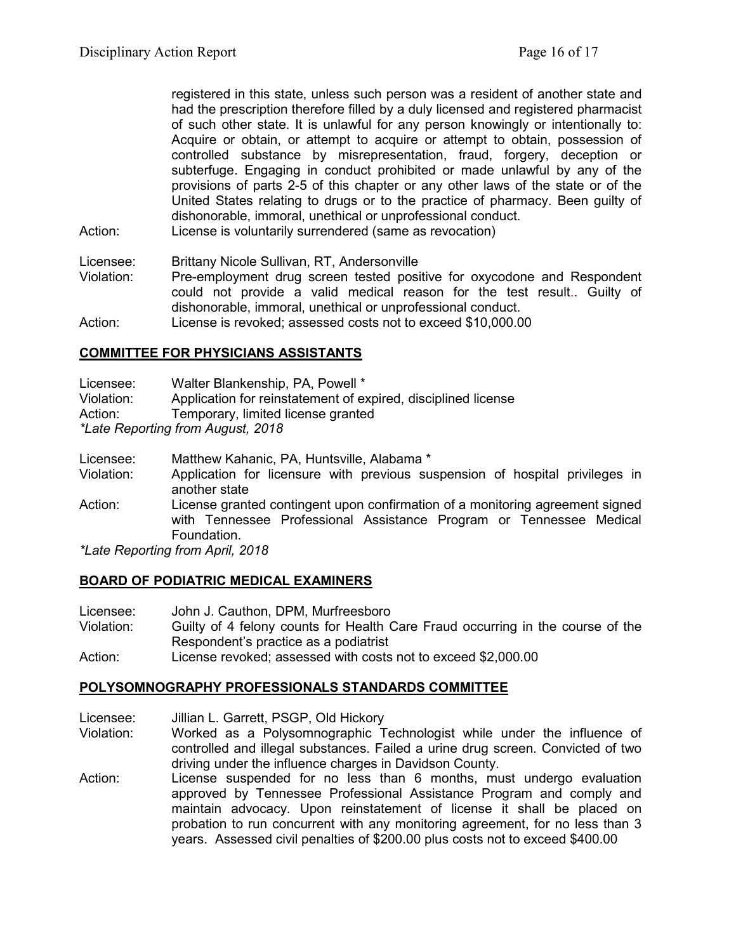registered in this state, unless such person was a resident of another state and had the prescription therefore filled by a duly licensed and registered pharmacist of such other state. It is unlawful for any person knowingly or intentionally to: Acquire or obtain, or attempt to acquire or attempt to obtain, possession of controlled substance by misrepresentation, fraud, forgery, deception or subterfuge. Engaging in conduct prohibited or made unlawful by any of the provisions of parts 2-5 of this chapter or any other laws of the state or of the United States relating to drugs or to the practice of pharmacy. Been guilty of dishonorable, immoral, unethical or unprofessional conduct.

Action: License is voluntarily surrendered (same as revocation)

Licensee: Brittany Nicole Sullivan, RT, Andersonville

Violation: Pre-employment drug screen tested positive for oxycodone and Respondent could not provide a valid medical reason for the test result.. Guilty of dishonorable, immoral, unethical or unprofessional conduct.

Action: License is revoked; assessed costs not to exceed \$10,000.00

## **COMMITTEE FOR PHYSICIANS ASSISTANTS**

Licensee: Walter Blankenship, PA, Powell \*

Violation: Application for reinstatement of expired, disciplined license

Action: Temporary, limited license granted

*\*Late Reporting from August, 2018*

- Licensee: Matthew Kahanic, PA, Huntsville, Alabama \*
- Violation: Application for licensure with previous suspension of hospital privileges in another state
- Action: License granted contingent upon confirmation of a monitoring agreement signed with Tennessee Professional Assistance Program or Tennessee Medical Foundation.

*\*Late Reporting from April, 2018*

### **BOARD OF PODIATRIC MEDICAL EXAMINERS**

| Licensee:  | John J. Cauthon, DPM, Murfreesboro                                             |
|------------|--------------------------------------------------------------------------------|
| Violation: | Guilty of 4 felony counts for Health Care Fraud occurring in the course of the |
|            | Respondent's practice as a podiatrist                                          |
| $A$ ction: | $\mu$ iconse revoked; assessed with costs not to exceed \$2,000,00             |

Action: License revoked; assessed with costs not to exceed \$2,000.00

### **POLYSOMNOGRAPHY PROFESSIONALS STANDARDS COMMITTEE**

- Licensee: Jillian L. Garrett, PSGP, Old Hickory
- Violation: Worked as a Polysomnographic Technologist while under the influence of controlled and illegal substances. Failed a urine drug screen. Convicted of two driving under the influence charges in Davidson County.
- Action: License suspended for no less than 6 months, must undergo evaluation approved by Tennessee Professional Assistance Program and comply and maintain advocacy. Upon reinstatement of license it shall be placed on probation to run concurrent with any monitoring agreement, for no less than 3 years. Assessed civil penalties of \$200.00 plus costs not to exceed \$400.00